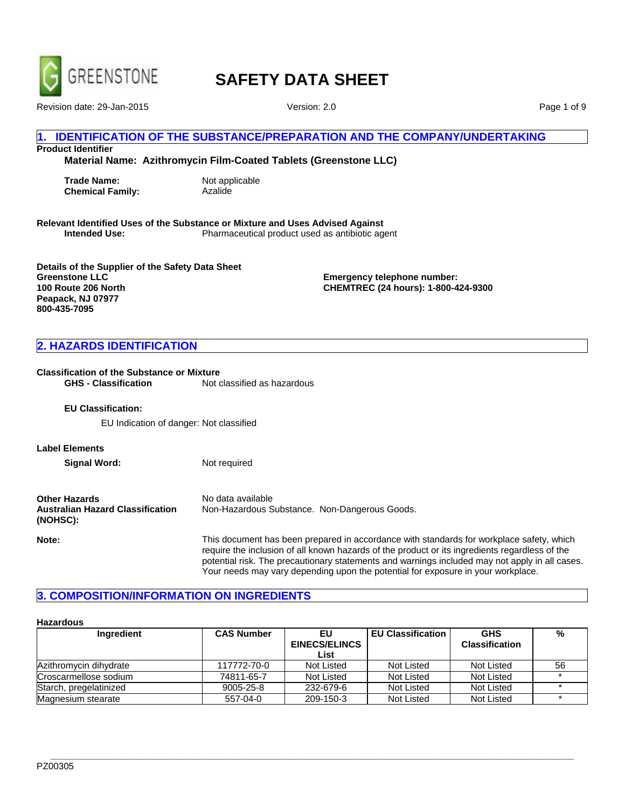

Revision date: 29-Jan-2015 Version: 2.0

Page 1 of 9

#### **IDENTIFICATION OF THE SUBSTANCE/PREPARATION AND THE COMPANY/UNDERTAKING**

**Product Identifier**

**Material Name: Azithromycin Film-Coated Tablets (Greenstone LLC)**

**Trade Name:** Not applicable **Chemical Family:** Azalide

**Relevant Identified Uses of the Substance or Mixture and Uses Advised Against Intended Use:** Pharmaceutical product used as antibiotic agent

**Details of the Supplier of the Safety Data Sheet Greenstone LLC 100 Route 206 North Peapack, NJ 07977 800-435-7095**

**Emergency telephone number: CHEMTREC (24 hours): 1-800-424-9300**

### **2. HAZARDS IDENTIFICATION**

# **Classification of the Substance or Mixture**<br>**GHS - Classification** Mot o

Not classified as hazardous

**EU Classification:**

EU Indication of danger: Not classified

**Label Elements**

**Signal Word:** Not required

| <b>Other Hazards</b>                                | No data available                             |  |
|-----------------------------------------------------|-----------------------------------------------|--|
| <b>Australian Hazard Classification</b><br>(NOHSC): | Non-Hazardous Substance. Non-Dangerous Goods. |  |

**Note:** This document has been prepared in accordance with standards for workplace safety, which require the inclusion of all known hazards of the product or its ingredients regardless of the potential risk. The precautionary statements and warnings included may not apply in all cases. Your needs may vary depending upon the potential for exposure in your workplace.

#### **3. COMPOSITION/INFORMATION ON INGREDIENTS**

#### **Hazardous**

| Ingredient             | <b>CAS Number</b> | EU.                  | <b>EU Classification</b> | <b>GHS</b>            | %  |
|------------------------|-------------------|----------------------|--------------------------|-----------------------|----|
|                        |                   | <b>EINECS/ELINCS</b> |                          | <b>Classification</b> |    |
|                        |                   | List                 |                          |                       |    |
| Azithromycin dihydrate | 117772-70-0       | Not Listed           | Not Listed               | Not Listed            | 56 |
| Croscarmellose sodium  | 74811-65-7        | Not Listed           | Not Listed               | Not Listed            |    |
| Starch, pregelatinized | 9005-25-8         | 232-679-6            | Not Listed               | Not Listed            |    |
| Magnesium stearate     | 557-04-0          | 209-150-3            | Not Listed               | Not Listed            |    |

**\_\_\_\_\_\_\_\_\_\_\_\_\_\_\_\_\_\_\_\_\_\_\_\_\_\_\_\_\_\_\_\_\_\_\_\_\_\_\_\_\_\_\_\_\_\_\_\_\_\_\_\_\_\_\_\_\_\_\_\_\_\_\_\_\_\_\_\_\_\_\_\_\_\_\_\_\_\_\_\_\_\_\_\_\_\_\_\_\_\_\_\_\_\_\_\_\_\_\_\_\_\_\_**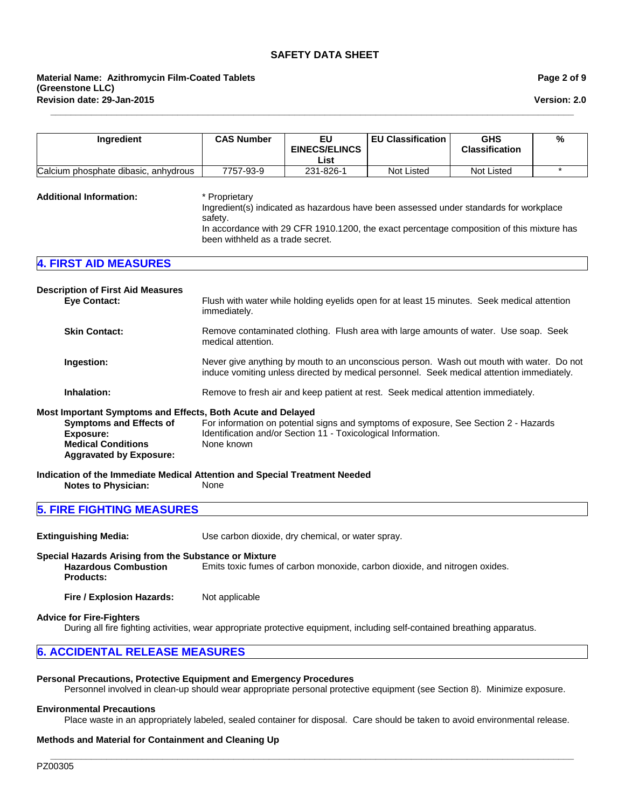**\_\_\_\_\_\_\_\_\_\_\_\_\_\_\_\_\_\_\_\_\_\_\_\_\_\_\_\_\_\_\_\_\_\_\_\_\_\_\_\_\_\_\_\_\_\_\_\_\_\_\_\_\_\_\_\_\_\_\_\_\_\_\_\_\_\_\_\_\_\_\_\_\_\_\_\_\_\_\_\_\_\_\_\_\_\_\_\_\_\_\_\_\_\_\_\_\_\_\_\_\_\_\_**

**Version: 2.0**

| Ingredient                                                                                                                                                                       | <b>CAS Number</b>                                                                                                                                                                     | EU<br><b>EINECS/ELINCS</b><br>List | <b>EU Classification</b>                                                                                                                                                           | <b>GHS</b><br><b>Classification</b> | $\frac{9}{6}$ |
|----------------------------------------------------------------------------------------------------------------------------------------------------------------------------------|---------------------------------------------------------------------------------------------------------------------------------------------------------------------------------------|------------------------------------|------------------------------------------------------------------------------------------------------------------------------------------------------------------------------------|-------------------------------------|---------------|
| Calcium phosphate dibasic, anhydrous                                                                                                                                             | 7757-93-9                                                                                                                                                                             | 231-826-1                          | <b>Not Listed</b>                                                                                                                                                                  | <b>Not Listed</b>                   | $\star$       |
| <b>Additional Information:</b>                                                                                                                                                   | * Proprietary<br>safety.<br>been withheld as a trade secret.                                                                                                                          |                                    | Ingredient(s) indicated as hazardous have been assessed under standards for workplace<br>In accordance with 29 CFR 1910.1200, the exact percentage composition of this mixture has |                                     |               |
| <b>4. FIRST AID MEASURES</b>                                                                                                                                                     |                                                                                                                                                                                       |                                    |                                                                                                                                                                                    |                                     |               |
| <b>Description of First Aid Measures</b><br><b>Eye Contact:</b>                                                                                                                  | immediately.                                                                                                                                                                          |                                    | Flush with water while holding eyelids open for at least 15 minutes. Seek medical attention                                                                                        |                                     |               |
| <b>Skin Contact:</b>                                                                                                                                                             | Remove contaminated clothing. Flush area with large amounts of water. Use soap. Seek<br>medical attention.                                                                            |                                    |                                                                                                                                                                                    |                                     |               |
| Ingestion:                                                                                                                                                                       | Never give anything by mouth to an unconscious person. Wash out mouth with water. Do not<br>induce vomiting unless directed by medical personnel. Seek medical attention immediately. |                                    |                                                                                                                                                                                    |                                     |               |
| Inhalation:                                                                                                                                                                      | Remove to fresh air and keep patient at rest. Seek medical attention immediately.                                                                                                     |                                    |                                                                                                                                                                                    |                                     |               |
| Most Important Symptoms and Effects, Both Acute and Delayed<br><b>Symptoms and Effects of</b><br><b>Exposure:</b><br><b>Medical Conditions</b><br><b>Aggravated by Exposure:</b> | Identification and/or Section 11 - Toxicological Information.<br>None known                                                                                                           |                                    | For information on potential signs and symptoms of exposure, See Section 2 - Hazards                                                                                               |                                     |               |
| Indication of the Immediate Medical Attention and Special Treatment Needed<br><b>Notes to Physician:</b>                                                                         | None                                                                                                                                                                                  |                                    |                                                                                                                                                                                    |                                     |               |
| <b>5. FIRE FIGHTING MEASURES</b>                                                                                                                                                 |                                                                                                                                                                                       |                                    |                                                                                                                                                                                    |                                     |               |

**Extinguishing Media:** Use carbon dioxide, dry chemical, or water spray.

#### **Special Hazards Arising from the Substance or Mixture**

**Hazardous Combustion Products:** Emits toxic fumes of carbon monoxide, carbon dioxide, and nitrogen oxides.

**Fire / Explosion Hazards:** Not applicable

#### **Advice for Fire-Fighters**

During all fire fighting activities, wear appropriate protective equipment, including self-contained breathing apparatus.

#### **6. ACCIDENTAL RELEASE MEASURES**

#### **Personal Precautions, Protective Equipment and Emergency Procedures**

Personnel involved in clean-up should wear appropriate personal protective equipment (see Section 8). Minimize exposure.

#### **Environmental Precautions**

Place waste in an appropriately labeled, sealed container for disposal. Care should be taken to avoid environmental release.

### **Methods and Material for Containment and Cleaning Up**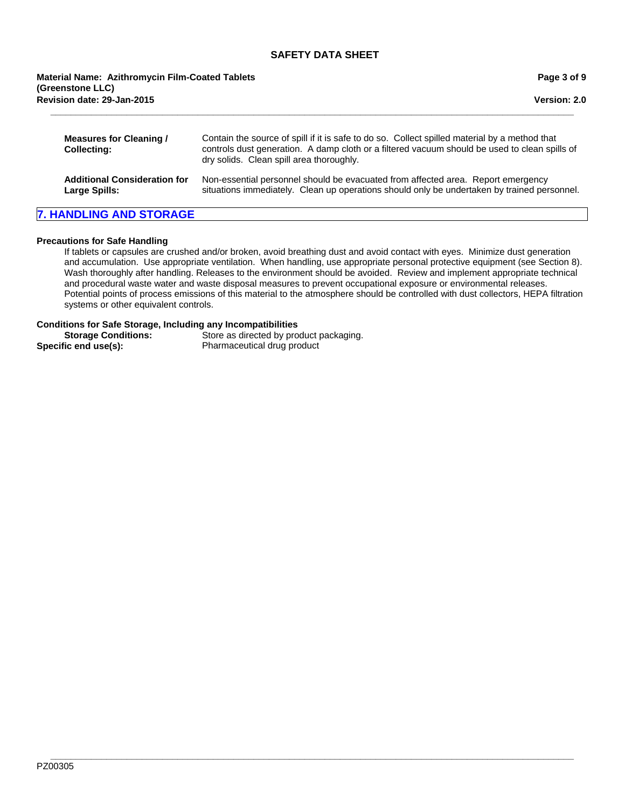**\_\_\_\_\_\_\_\_\_\_\_\_\_\_\_\_\_\_\_\_\_\_\_\_\_\_\_\_\_\_\_\_\_\_\_\_\_\_\_\_\_\_\_\_\_\_\_\_\_\_\_\_\_\_\_\_\_\_\_\_\_\_\_\_\_\_\_\_\_\_\_\_\_\_\_\_\_\_\_\_\_\_\_\_\_\_\_\_\_\_\_\_\_\_\_\_\_\_\_\_\_\_\_ Measures for Cleaning / Collecting:** Contain the source of spill if it is safe to do so. Collect spilled material by a method that controls dust generation. A damp cloth or a filtered vacuum should be used to clean spills of dry solids. Clean spill area thoroughly. **Additional Consideration for Large Spills:** Non-essential personnel should be evacuated from affected area. Report emergency situations immediately. Clean up operations should only be undertaken by trained personnel. **Revision date: 29-Jan-2015 Material Name: Azithromycin Film-Coated Tablets (Greenstone LLC)**

# **7. HANDLING AND STORAGE**

#### **Precautions for Safe Handling**

If tablets or capsules are crushed and/or broken, avoid breathing dust and avoid contact with eyes. Minimize dust generation and accumulation. Use appropriate ventilation. When handling, use appropriate personal protective equipment (see Section 8). Wash thoroughly after handling. Releases to the environment should be avoided. Review and implement appropriate technical and procedural waste water and waste disposal measures to prevent occupational exposure or environmental releases. Potential points of process emissions of this material to the atmosphere should be controlled with dust collectors, HEPA filtration systems or other equivalent controls.

#### **Conditions for Safe Storage, Including any Incompatibilities**

**Storage Conditions:** Store as directed by product packaging. **Specific end use(s):** Pharmaceutical drug product

**\_\_\_\_\_\_\_\_\_\_\_\_\_\_\_\_\_\_\_\_\_\_\_\_\_\_\_\_\_\_\_\_\_\_\_\_\_\_\_\_\_\_\_\_\_\_\_\_\_\_\_\_\_\_\_\_\_\_\_\_\_\_\_\_\_\_\_\_\_\_\_\_\_\_\_\_\_\_\_\_\_\_\_\_\_\_\_\_\_\_\_\_\_\_\_\_\_\_\_\_\_\_\_** PZ00305

**Page 3 of 9**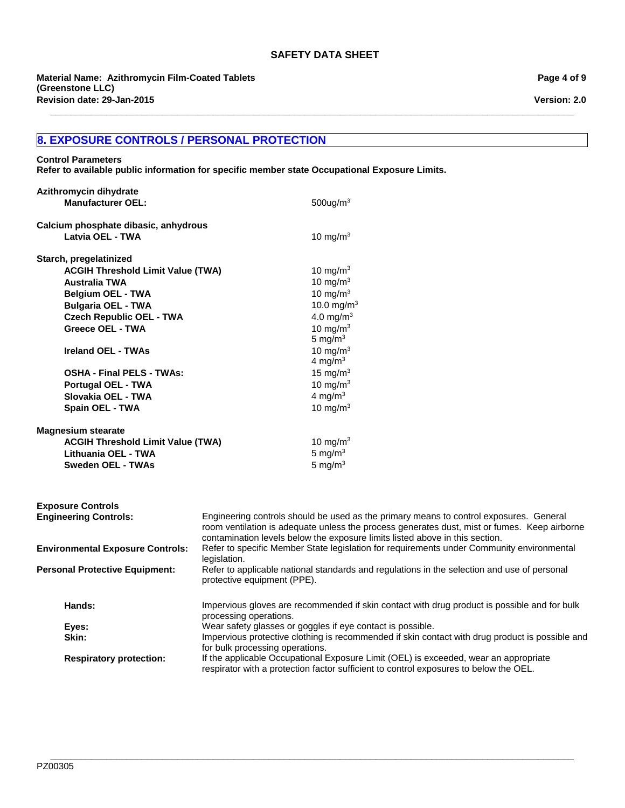**\_\_\_\_\_\_\_\_\_\_\_\_\_\_\_\_\_\_\_\_\_\_\_\_\_\_\_\_\_\_\_\_\_\_\_\_\_\_\_\_\_\_\_\_\_\_\_\_\_\_\_\_\_\_\_\_\_\_\_\_\_\_\_\_\_\_\_\_\_\_\_\_\_\_\_\_\_\_\_\_\_\_\_\_\_\_\_\_\_\_\_\_\_\_\_\_\_\_\_\_\_\_\_**

**Revision date: 29-Jan-2015 Material Name: Azithromycin Film-Coated Tablets (Greenstone LLC)**

# **8. EXPOSURE CONTROLS / PERSONAL PROTECTION**

#### **Control Parameters**

**Refer to available public information for specific member state Occupational Exposure Limits.**

| Azithromycin dihydrate                   |                                                                                                                                                                                                                                                                        |
|------------------------------------------|------------------------------------------------------------------------------------------------------------------------------------------------------------------------------------------------------------------------------------------------------------------------|
| <b>Manufacturer OEL:</b>                 | $500$ ug/m $3$                                                                                                                                                                                                                                                         |
| Calcium phosphate dibasic, anhydrous     |                                                                                                                                                                                                                                                                        |
| Latvia OEL - TWA                         | 10 mg/m $3$                                                                                                                                                                                                                                                            |
| Starch, pregelatinized                   |                                                                                                                                                                                                                                                                        |
| <b>ACGIH Threshold Limit Value (TWA)</b> | 10 mg/m $3$                                                                                                                                                                                                                                                            |
| <b>Australia TWA</b>                     | 10 mg/m $3$                                                                                                                                                                                                                                                            |
| <b>Belgium OEL - TWA</b>                 | 10 mg/m $3$                                                                                                                                                                                                                                                            |
| <b>Bulgaria OEL - TWA</b>                | 10.0 mg/m <sup>3</sup>                                                                                                                                                                                                                                                 |
| <b>Czech Republic OEL - TWA</b>          | 4.0 mg/m <sup>3</sup>                                                                                                                                                                                                                                                  |
| Greece OEL - TWA                         | 10 mg/m $3$                                                                                                                                                                                                                                                            |
|                                          | 5 mg/m $3$                                                                                                                                                                                                                                                             |
| <b>Ireland OEL - TWAs</b>                | 10 mg/m $3$                                                                                                                                                                                                                                                            |
|                                          | 4 mg/ $m3$                                                                                                                                                                                                                                                             |
| <b>OSHA - Final PELS - TWAs:</b>         | 15 mg/m $3$                                                                                                                                                                                                                                                            |
| <b>Portugal OEL - TWA</b>                | 10 mg/m $3$                                                                                                                                                                                                                                                            |
| Slovakia OEL - TWA                       | 4 mg/m $3$                                                                                                                                                                                                                                                             |
| <b>Spain OEL - TWA</b>                   | 10 mg/m $3$                                                                                                                                                                                                                                                            |
| <b>Magnesium stearate</b>                |                                                                                                                                                                                                                                                                        |
| <b>ACGIH Threshold Limit Value (TWA)</b> | 10 mg/m $3$                                                                                                                                                                                                                                                            |
| Lithuania OEL - TWA                      | 5 mg/ $m3$                                                                                                                                                                                                                                                             |
| <b>Sweden OEL - TWAs</b>                 | 5 mg/ $m3$                                                                                                                                                                                                                                                             |
|                                          |                                                                                                                                                                                                                                                                        |
| <b>Exposure Controls</b>                 |                                                                                                                                                                                                                                                                        |
| <b>Engineering Controls:</b>             | Engineering controls should be used as the primary means to control exposures. General<br>room ventilation is adequate unless the process generates dust, mist or fumes. Keep airborne<br>contamination levels below the exposure limits listed above in this section. |
| <b>Environmental Exposure Controls:</b>  | Refer to specific Member State legislation for requirements under Community environmental<br>legislation.                                                                                                                                                              |
| <b>Personal Protective Equipment:</b>    | Refer to applicable national standards and regulations in the selection and use of personal<br>protective equipment (PPE).                                                                                                                                             |
| Hands:                                   | Impervious gloves are recommended if skin contact with drug product is possible and for bulk<br>processing operations.                                                                                                                                                 |
| Eyes:                                    | Wear safety glasses or goggles if eye contact is possible.                                                                                                                                                                                                             |
| Skin:                                    | Impervious protective clothing is recommended if skin contact with drug product is possible and                                                                                                                                                                        |
|                                          | for bulk processing operations.                                                                                                                                                                                                                                        |
| <b>Respiratory protection:</b>           | If the applicable Occupational Exposure Limit (OEL) is exceeded, wear an appropriate<br>respirator with a protection factor sufficient to control exposures to below the OEL.                                                                                          |

**Page 4 of 9**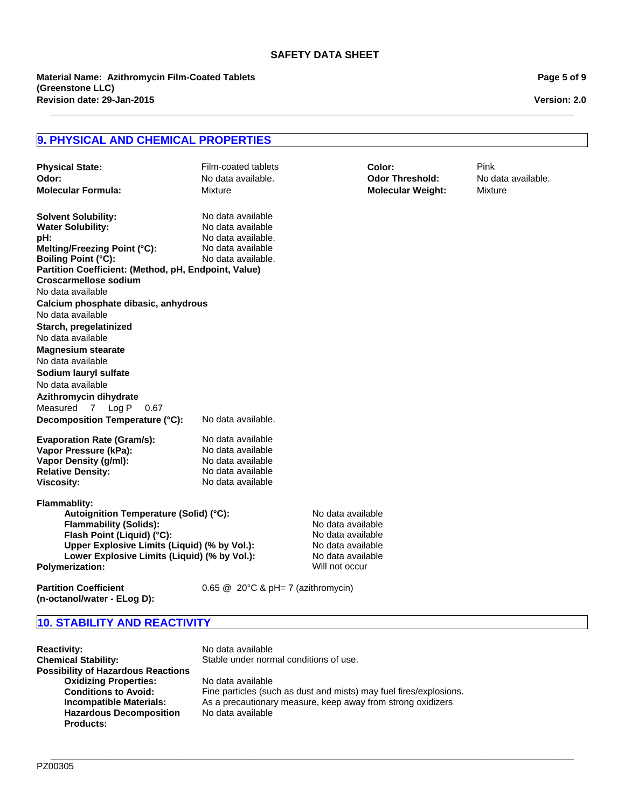**\_\_\_\_\_\_\_\_\_\_\_\_\_\_\_\_\_\_\_\_\_\_\_\_\_\_\_\_\_\_\_\_\_\_\_\_\_\_\_\_\_\_\_\_\_\_\_\_\_\_\_\_\_\_\_\_\_\_\_\_\_\_\_\_\_\_\_\_\_\_\_\_\_\_\_\_\_\_\_\_\_\_\_\_\_\_\_\_\_\_\_\_\_\_\_\_\_\_\_\_\_\_\_**

**Revision date: 29-Jan-2015 Material Name: Azithromycin Film-Coated Tablets (Greenstone LLC)**

**Page 5 of 9**

**Version: 2.0**

## **9. PHYSICAL AND CHEMICAL PROPERTIES**

| <b>Physical State:</b><br>Odor:<br><b>Molecular Formula:</b>                                                                                                                                                                                                                                                                                                         | Film-coated tablets<br>No data available.<br>Mixture                                                    |                                                                                                       | Color:<br><b>Odor Threshold:</b><br><b>Molecular Weight:</b> | Pink<br>No data available.<br>Mixture |
|----------------------------------------------------------------------------------------------------------------------------------------------------------------------------------------------------------------------------------------------------------------------------------------------------------------------------------------------------------------------|---------------------------------------------------------------------------------------------------------|-------------------------------------------------------------------------------------------------------|--------------------------------------------------------------|---------------------------------------|
| <b>Solvent Solubility:</b><br><b>Water Solubility:</b><br>pH:<br>Melting/Freezing Point (°C):<br><b>Boiling Point (°C):</b><br>Partition Coefficient: (Method, pH, Endpoint, Value)<br><b>Croscarmellose sodium</b><br>No data available                                                                                                                             | No data available<br>No data available<br>No data available.<br>No data available<br>No data available. |                                                                                                       |                                                              |                                       |
| Calcium phosphate dibasic, anhydrous<br>No data available<br>Starch, pregelatinized<br>No data available<br><b>Magnesium stearate</b><br>No data available<br>Sodium lauryl sulfate<br>No data available<br>Azithromycin dihydrate<br>Measured 7 Log P<br>0.67<br>Decomposition Temperature (°C):                                                                    | No data available.                                                                                      |                                                                                                       |                                                              |                                       |
| <b>Evaporation Rate (Gram/s):</b><br>Vapor Pressure (kPa):<br>Vapor Density (g/ml):<br><b>Relative Density:</b><br><b>Viscosity:</b><br><b>Flammablity:</b><br>Autoignition Temperature (Solid) (°C):<br><b>Flammability (Solids):</b><br>Flash Point (Liquid) (°C):<br>Upper Explosive Limits (Liquid) (% by Vol.):<br>Lower Explosive Limits (Liquid) (% by Vol.): | No data available<br>No data available<br>No data available<br>No data available<br>No data available   | No data available<br>No data available<br>No data available<br>No data available<br>No data available |                                                              |                                       |
| <b>Polymerization:</b>                                                                                                                                                                                                                                                                                                                                               |                                                                                                         | Will not occur                                                                                        |                                                              |                                       |
| <b>Partition Coefficient</b><br>(n-octanol/water - ELog D):                                                                                                                                                                                                                                                                                                          | $0.65 \& 20^{\circ}$ C & pH= 7 (azithromycin)                                                           |                                                                                                       |                                                              |                                       |

# **10. STABILITY AND REACTIVITY**

| <b>Reactivity:</b>                        | No data available                                                  |
|-------------------------------------------|--------------------------------------------------------------------|
| <b>Chemical Stability:</b>                | Stable under normal conditions of use.                             |
| <b>Possibility of Hazardous Reactions</b> |                                                                    |
| <b>Oxidizing Properties:</b>              | No data available                                                  |
| <b>Conditions to Avoid:</b>               | Fine particles (such as dust and mists) may fuel fires/explosions. |
| Incompatible Materials:                   | As a precautionary measure, keep away from strong oxidizers        |
| <b>Hazardous Decomposition</b>            | No data available                                                  |
| <b>Products:</b>                          |                                                                    |

**\_\_\_\_\_\_\_\_\_\_\_\_\_\_\_\_\_\_\_\_\_\_\_\_\_\_\_\_\_\_\_\_\_\_\_\_\_\_\_\_\_\_\_\_\_\_\_\_\_\_\_\_\_\_\_\_\_\_\_\_\_\_\_\_\_\_\_\_\_\_\_\_\_\_\_\_\_\_\_\_\_\_\_\_\_\_\_\_\_\_\_\_\_\_\_\_\_\_\_\_\_\_\_**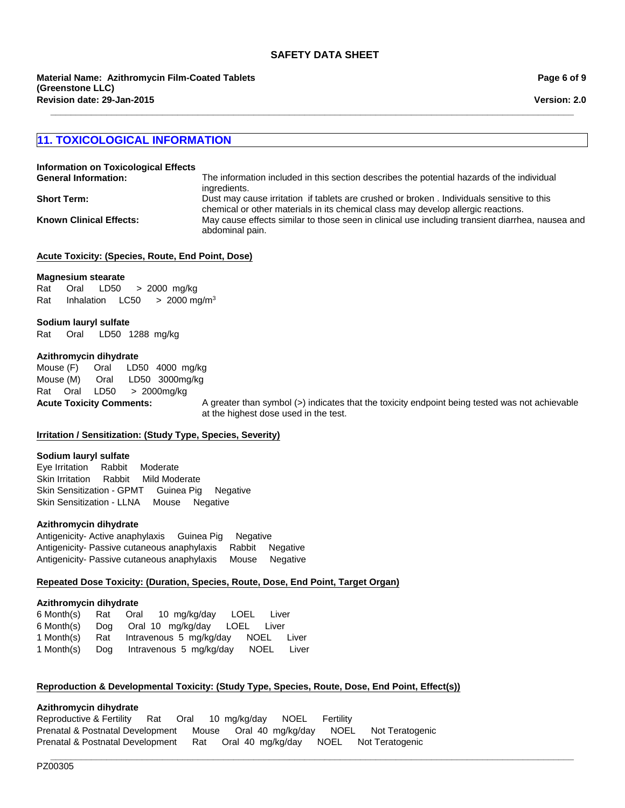#### **11. TOXICOLOGICAL INFORMATION**

| Information on Toxicological Effects |                                                                                                                                                                                 |
|--------------------------------------|---------------------------------------------------------------------------------------------------------------------------------------------------------------------------------|
| <b>General Information:</b>          | The information included in this section describes the potential hazards of the individual<br>ingredients.                                                                      |
| <b>Short Term:</b>                   | Dust may cause irritation if tablets are crushed or broken . Individuals sensitive to this<br>chemical or other materials in its chemical class may develop allergic reactions. |
| <b>Known Clinical Effects:</b>       | May cause effects similar to those seen in clinical use including transient diarrhea, nausea and<br>abdominal pain.                                                             |

**\_\_\_\_\_\_\_\_\_\_\_\_\_\_\_\_\_\_\_\_\_\_\_\_\_\_\_\_\_\_\_\_\_\_\_\_\_\_\_\_\_\_\_\_\_\_\_\_\_\_\_\_\_\_\_\_\_\_\_\_\_\_\_\_\_\_\_\_\_\_\_\_\_\_\_\_\_\_\_\_\_\_\_\_\_\_\_\_\_\_\_\_\_\_\_\_\_\_\_\_\_\_\_**

#### **Acute Toxicity: (Species, Route, End Point, Dose)**

#### **Magnesium stearate**

Rat Oral LD50 >2000mg/kg Rat InhalationLC50 >2000 mg/m3

#### **Sodium lauryl sulfate**

Rat Oral LD50 1288mg/kg

#### **Azithromycin dihydrate**

Mouse (F) Oral LD50 4000mg/kg Mouse (M) Oral LD50 3000mg/kg RatOralLD50 >2000mg/kg

**Acute Toxicity Comments:** A greater than symbol (>) indicates that the toxicity endpoint being tested was not achievable at the highest dose used in the test.

#### **Irritation / Sensitization: (Study Type, Species, Severity)**

#### **Sodium lauryl sulfate**

Eye IrritationRabbitModerate Skin IrritationRabbitMild Moderate Skin Sensitization - GPMTGuinea PigNegative Skin Sensitization - LLNAMouseNegative

#### **Azithromycin dihydrate**

Antigenicity- Active anaphylaxisGuinea PigNegative Antigenicity- Passive cutaneous anaphylaxisRabbitNegative Antigenicity- Passive cutaneous anaphylaxisMouseNegative

#### **Repeated Dose Toxicity: (Duration, Species, Route, Dose, End Point, Target Organ)**

#### **Azithromycin dihydrate**

| 6 Month(s) |     | Rat Oral 10 mg/kg/day LOEL<br>Liver          |
|------------|-----|----------------------------------------------|
| 6 Month(s) |     | Dog Oral 10 mg/kg/day LOEL Liver             |
| 1 Month(s) | Rat | Intravenous 5 mg/kg/day NOEL<br>Liver        |
| 1 Month(s) |     | Dog Intravenous 5 mg/kg/day<br>NOEL<br>Liver |

#### **Reproduction & Developmental Toxicity: (Study Type, Species, Route, Dose, End Point, Effect(s))**

### **Azithromycin dihydrate**

Reproductive & FertilityRatOral10mg/kg/dayNOELFertility Prenatal & Postnatal DevelopmentMouseOral40mg/kg/dayNOELNot Teratogenic Prenatal & Postnatal DevelopmentRatOral40mg/kg/dayNOELNot Teratogenic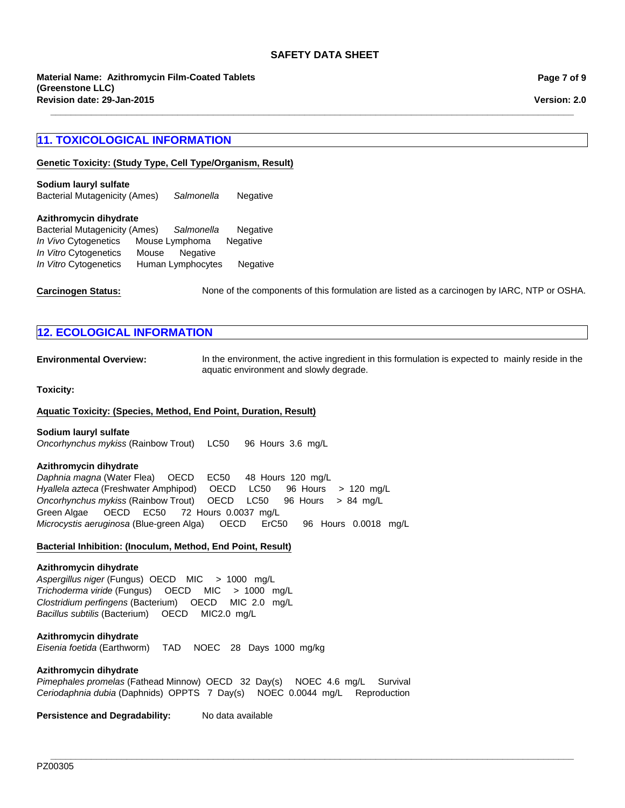**\_\_\_\_\_\_\_\_\_\_\_\_\_\_\_\_\_\_\_\_\_\_\_\_\_\_\_\_\_\_\_\_\_\_\_\_\_\_\_\_\_\_\_\_\_\_\_\_\_\_\_\_\_\_\_\_\_\_\_\_\_\_\_\_\_\_\_\_\_\_\_\_\_\_\_\_\_\_\_\_\_\_\_\_\_\_\_\_\_\_\_\_\_\_\_\_\_\_\_\_\_\_\_**

**Revision date: 29-Jan-2015 Material Name: Azithromycin Film-Coated Tablets (Greenstone LLC)**

#### **11. TOXICOLOGICAL INFORMATION**

**Genetic Toxicity: (Study Type, Cell Type/Organism, Result)**

Bacterial Mutagenicity (Ames)*Salmonella* Negative **Sodium lauryl sulfate**

#### **Azithromycin dihydrate**

| <b>Bacterial Mutagenicity (Ames)</b> |       | Salmonella        | Negative        |
|--------------------------------------|-------|-------------------|-----------------|
| In Vivo Cytogenetics                 |       | Mouse Lymphoma    | <b>Negative</b> |
| In Vitro Cytogenetics                | Mouse | Negative          |                 |
| In Vitro Cytogenetics                |       | Human Lymphocytes | Negative        |

Carcinogen Status: None of the components of this formulation are listed as a carcinogen by IARC, NTP or OSHA.

#### **12. ECOLOGICAL INFORMATION**

**Environmental Overview:** In the environment, the active ingredient in this formulation is expected to mainly reside in the aquatic environment and slowly degrade.

#### **Toxicity:**

#### **Aquatic Toxicity: (Species, Method, End Point, Duration, Result)**

#### **Sodium lauryl sulfate**

*Oncorhynchus mykiss* (Rainbow Trout)LC50 96Hours3.6mg/L

#### **Azithromycin dihydrate**

*Daphnia magna* (Water Flea)OECDEC50 48Hours120mg/L *Hyallela azteca* (Freshwater Amphipod)OECDLC50 96Hours>120mg/L *Oncorhynchus mykiss* (Rainbow Trout)OECDLC50 96Hours>84mg/L Green Algae OECDEC50 72Hours0.0037mg/L *Microcystis aeruginosa* (Blue-green Alga)OECDErC5096Hours0.0018mg/L

#### **Bacterial Inhibition: (Inoculum, Method, End Point, Result)**

#### **Azithromycin dihydrate**

*Aspergillus niger* (Fungus) OECD MIC>1000mg/L *Trichoderma viride* (Fungus)OECDMIC>1000mg/L *Clostridium perfingens* (Bacterium)OECDMIC2.0mg/L *Bacillus subtilis* (Bacterium)OECDMIC2.0mg/L

#### **Azithromycin dihydrate**

*Eisenia foetida* (Earthworm)TADNOEC28Days1000mg/kg

#### **Azithromycin dihydrate**

*Pimephales promelas* (Fathead Minnow)OECD32Day(s)NOEC4.6mg/LSurvival *Ceriodaphnia dubia* (Daphnids)OPPTS7Day(s)NOEC0.0044mg/LReproduction

**Persistence and Degradability:** No data available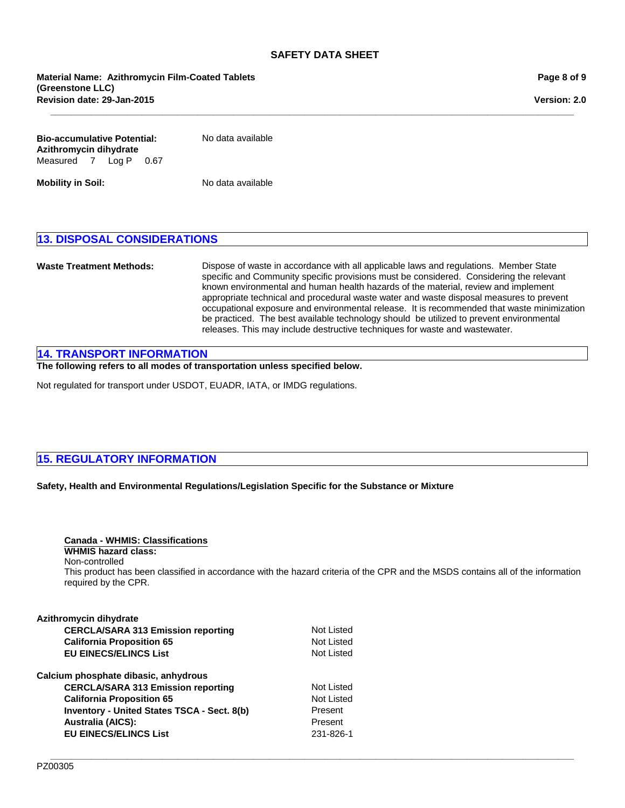**\_\_\_\_\_\_\_\_\_\_\_\_\_\_\_\_\_\_\_\_\_\_\_\_\_\_\_\_\_\_\_\_\_\_\_\_\_\_\_\_\_\_\_\_\_\_\_\_\_\_\_\_\_\_\_\_\_\_\_\_\_\_\_\_\_\_\_\_\_\_\_\_\_\_\_\_\_\_\_\_\_\_\_\_\_\_\_\_\_\_\_\_\_\_\_\_\_\_\_\_\_\_\_**

| Bio-accumulative Potential:<br>Azithromycin dihydrate |  |  | No data available |  |
|-------------------------------------------------------|--|--|-------------------|--|
| Measured 7 Log P 0.67                                 |  |  |                   |  |

**Mobility in Soil:** No data available

#### **13. DISPOSAL CONSIDERATIONS**

**Waste Treatment Methods:** Dispose of waste in accordance with all applicable laws and regulations. Member State specific and Community specific provisions must be considered. Considering the relevant known environmental and human health hazards of the material, review and implement appropriate technical and procedural waste water and waste disposal measures to prevent occupational exposure and environmental release. It is recommended that waste minimization be practiced. The best available technology should be utilized to prevent environmental releases. This may include destructive techniques for waste and wastewater.

#### **14. TRANSPORT INFORMATION**

**The following refers to all modes of transportation unless specified below.**

Not regulated for transport under USDOT, EUADR, IATA, or IMDG regulations.

#### **15. REGULATORY INFORMATION**

#### **Safety, Health and Environmental Regulations/Legislation Specific for the Substance or Mixture**

| Canada - WHMIS: Classifications             |                                                                                                                                 |
|---------------------------------------------|---------------------------------------------------------------------------------------------------------------------------------|
| <b>WHMIS hazard class:</b>                  |                                                                                                                                 |
| Non-controlled                              |                                                                                                                                 |
| required by the CPR.                        | This product has been classified in accordance with the hazard criteria of the CPR and the MSDS contains all of the information |
|                                             |                                                                                                                                 |
| Azithromycin dihydrate                      |                                                                                                                                 |
| <b>CERCLA/SARA 313 Emission reporting</b>   | Not Listed                                                                                                                      |
| <b>California Proposition 65</b>            | Not Listed                                                                                                                      |
| <b>EU EINECS/ELINCS List</b>                | Not Listed                                                                                                                      |
| Calcium phosphate dibasic, anhydrous        |                                                                                                                                 |
| <b>CERCLA/SARA 313 Emission reporting</b>   | Not Listed                                                                                                                      |
| <b>California Proposition 65</b>            | Not Listed                                                                                                                      |
| Inventory - United States TSCA - Sect. 8(b) | Present                                                                                                                         |
| <b>Australia (AICS):</b>                    | Present                                                                                                                         |
| <b>EU EINECS/ELINCS List</b>                | 231-826-1                                                                                                                       |
|                                             |                                                                                                                                 |

**Page 8 of 9**